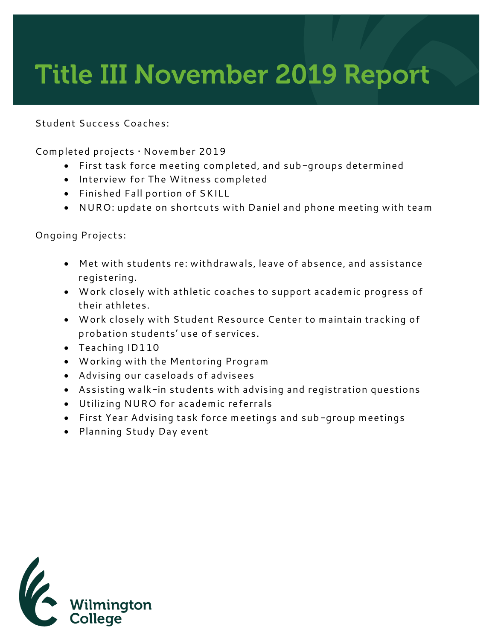## **Title III November 2019 Report**

**Student Success Coaches:**

**Completed projects • November 2019**

- **First task force meeting completed, and sub-groups determined**
- **Interview for The Witness completed**
- **Finished Fall portion of SKILL**
- **NURO: update on shortcuts with Daniel and phone meeting with team**

**Ongoing Projects:**

- **Met with students re: withdrawals, leave of absence, and assistance registering.**
- **Work closely with athletic coaches to support academic progress of their athletes.**
- **Work closely with Student Resource Center to maintain tracking of probation students' use of services.**
- **Teaching ID110**
- **Working with the Mentoring Program**
- **Advising our caseloads of advisees**
- **Assisting walk-in students with advising and registration questions**
- **Utilizing NURO for academic referrals**
- **First Year Advising task force meetings and sub-group meetings**
- **Planning Study Day event**

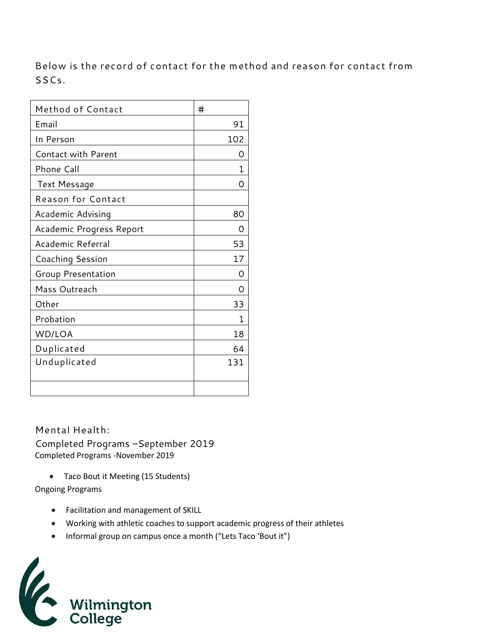**Below is the record of contact for the method and reason for contact from SSCs.** 

| Method of Contact          | #   |
|----------------------------|-----|
| Email                      | 91  |
| In Person                  | 102 |
| <b>Contact with Parent</b> | Ω   |
| Phone Call                 | 1   |
| Text Message               | 0   |
| <b>Reason for Contact</b>  |     |
| Academic Advising          | 80  |
| Academic Progress Report   | O   |
| Academic Referral          | 53  |
| Coaching Session           | 17  |
| Group Presentation         | Ω   |
| Mass Outreach              | O   |
| Other                      | 33  |
| Probation                  | 1   |
| WD/LOA                     | 18  |
| Duplicated                 | 64  |
| Unduplicated               | 131 |
|                            |     |

**Mental Health:**  Completed Programs –September 2019 Completed Programs -November 2019

• Taco Bout it Meeting (15 Students)

Ongoing Programs

- Facilitation and management of SKILL
- Working with athletic coaches to support academic progress of their athletes
- Informal group on campus once a month ("Lets Taco 'Bout it")